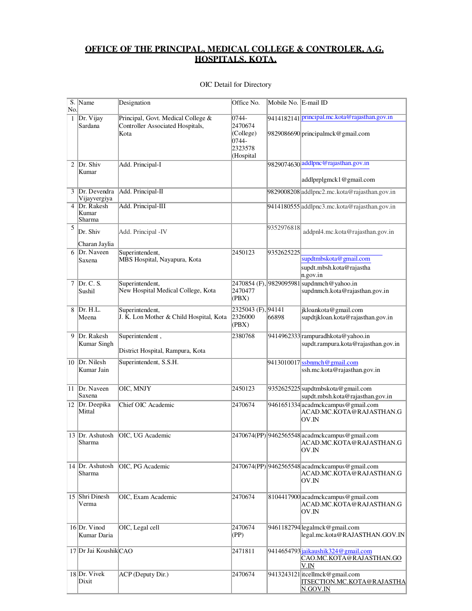## **OFFICE OF THE PRINCIPAL, MEDICAL COLLEGE & CONTROLER, A.G. HOSPITALS. KOTA.**

| No. | S. Name                             | Designation                                                | Office No.                               | Mobile No. E-mail ID |                                                                                        |
|-----|-------------------------------------|------------------------------------------------------------|------------------------------------------|----------------------|----------------------------------------------------------------------------------------|
|     | 1  Dr. Vijay                        | Principal, Govt. Medical College &                         | $ 0744 -$                                |                      | 9414182141 principal.mc.kota@rajasthan.gov.in                                          |
|     | Sardana                             | Controller Associated Hospitals,<br>Kota                   | 2470674<br>(College)<br>0744-<br>2323578 |                      | 9829086690 principalmck@gmail.com                                                      |
|     |                                     |                                                            | (Hospital                                |                      | 9829074630 addlpnc@rajasthan.gov.in                                                    |
|     | $2$ Dr. Shiv<br>Kumar               | Add. Principal-I                                           |                                          |                      | addlprplgmck1@gmail.com                                                                |
|     | 3 Dr. Devendra<br>Vijayvergiya      | Add. Principal-II                                          |                                          |                      | 9829008208 addlpnc2.mc.kota@rajasthan.gov.in                                           |
| 4   | Dr. Rakesh<br>Kumar<br>Sharma       | Add. Principal-III                                         |                                          |                      | 9414180555 addlpnc3.mc.kota@rajasthan.gov.in                                           |
| 5   | Dr. Shiv<br>Charan Jaylia           | Add. Principal -IV                                         |                                          | 9352976818           | addpnl4.mc.kota@rajasthan.gov.in                                                       |
|     | 6 Dr. Naveen<br>Saxena              | Superintendent,<br>MBS Hospital, Nayapura, Kota            | 2450123                                  | 9352625225           | supdtmbskota@gmail.com<br>supdt.mbsh.kota@rajastha<br>n.gov.in                         |
| 7   | Dr. C. S.<br>Sushil                 | Superintendent,<br>New Hospital Medical College, Kota      | 2470477<br>(PBX)                         |                      | 2470854 (F), 9829095981 supdnmch@yahoo.in<br>supdnmch.kota@rajasthan.gov.in            |
|     | 8 Dr. H.L.<br>Meena                 | Superintendent,<br>J. K. Lon Mother & Child Hospital, Kota | 2325043 (F), 94141<br>2326000<br>(PBX)   | 66898                | jkloankota@gmail.com<br>supdtjkloan.kota@rajasthan.gov.in                              |
| 9   | Dr. Rakesh<br>Kumar Singh           | Superintendent,<br>District Hospital, Rampura, Kota        | 2380768                                  |                      | 9414962333 rampuradhkota@yahoo.in<br>supdt.rampura.kota@rajasthan.gov.in               |
|     |                                     |                                                            |                                          |                      |                                                                                        |
|     | 10 $\vert$ Dr. Nilesh<br>Kumar Jain | Superintendent, S.S.H.                                     |                                          |                      | $9413010017$ ssbnmch@gmail.com<br>ssh.mc.kota@rajasthan.gov.in                         |
|     | 11 Dr. Naveen<br>Saxena             | OIC, MNJY                                                  | 2450123                                  |                      | 9352625225 supdtmbskota@gmail.com<br>supdt.mbsh.kota@rajasthan.gov.in                  |
|     | 12   Dr. Deepika<br>Mittal          | Chief OIC Academic                                         | 2470674                                  |                      | 9461651334 acadmckcampus@gmail.com<br>ACAD.MC.KOTA@RAJASTHAN.G<br>OV.IN                |
|     | 13 Dr. Ashutosh<br>Sharma           | OIC, UG Academic                                           |                                          |                      | 2470674(PP) 9462565548 acadmckcampus@gmail.com<br>ACAD.MC.KOTA@RAJASTHAN.G<br>OV.IN    |
|     | 14 Dr. Ashutosh<br>Sharma           | OIC, PG Academic                                           |                                          |                      | 2470674(PP) 9462565548 acadmckcampus@gmail.com<br>ACAD.MC.KOTA@RAJASTHAN.G<br>OV.IN    |
|     | 15 Shri Dinesh<br>Verma             | OIC, Exam Academic                                         | 2470674                                  |                      | 8104417900 acadmckcampus@gmail.com<br>ACAD.MC.KOTA@RAJASTHAN.G<br>OV.IN                |
|     | $16$ Dr. Vinod<br>Kumar Daria       | OIC, Legal cell                                            | 2470674<br>(PP)                          |                      | 9461182794 legalmck@gmail.com<br>legal.mc.kota@RAJASTHAN.GOV.IN                        |
|     | 17 Dr Jai Koushik CAO               |                                                            | 2471811                                  |                      | 9414654793 jaikaushik324@gmail.com<br>CAO.MC.KOTA@RAJASTHAN.GO<br>V.IN                 |
|     | 18 Dr. Vivek<br>Dixit               | ACP (Deputy Dir.)                                          | 2470674                                  |                      | 9413243121 itcellmck@gmail.com<br><b>ITSECTION.MC.KOTA@RAJASTHA</b><br><u>N.GOV.IN</u> |

## OIC Detail for Directory